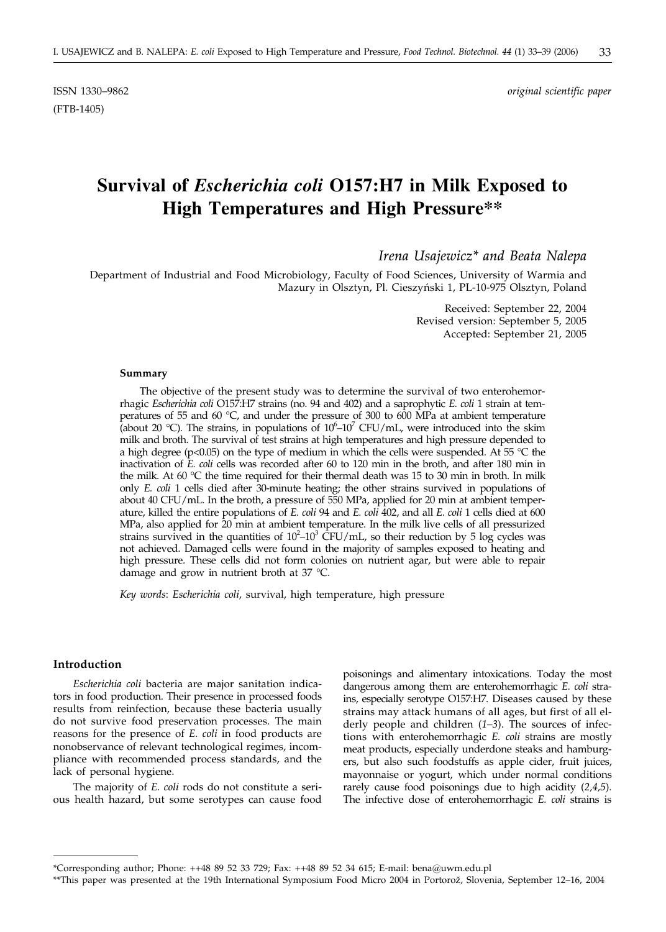(FTB-1405)

ISSN 1330–9862 *original scientific paper*

# **Survival of** *Escherichia coli* **O157:H7 in Milk Exposed to High Temperatures and High Pressure\*\***

*Irena Usajewicz\* and Beata Nalepa*

Department of Industrial and Food Microbiology, Faculty of Food Sciences, University of Warmia and Mazury in Olsztyn, Pl. Cieszyński 1, PL-10-975 Olsztyn, Poland

> Received: September 22, 2004 Revised version: September 5, 2005 Accepted: September 21, 2005

#### **Summary**

The objective of the present study was to determine the survival of two enterohemorrhagic *Escherichia coli* O157:H7 strains (no. 94 and 402) and a saprophytic *E. coli* 1 strain at temperatures of 55 and 60 °C, and under the pressure of 300 to 600 MPa at ambient temperature (about 20 °C). The strains, in populations of  $10^6$ – $10^7$  CFU/mL, were introduced into the skim milk and broth. The survival of test strains at high temperatures and high pressure depended to a high degree (p<0.05) on the type of medium in which the cells were suspended. At 55  $\degree$ C the inactivation of *E. coli* cells was recorded after 60 to 120 min in the broth, and after 180 min in the milk. At 60 °C the time required for their thermal death was 15 to 30 min in broth. In milk only *E. coli* 1 cells died after 30-minute heating; the other strains survived in populations of about 40 CFU/mL. In the broth, a pressure of 550 MPa, applied for 20 min at ambient temperature, killed the entire populations of *E. coli* 94 and *E. coli* 402, and all *E. coli* 1 cells died at 600 MPa, also applied for 20 min at ambient temperature. In the milk live cells of all pressurized strains survived in the quantities of  $10^2$ – $10^3$  CFU/mL, so their reduction by 5 log cycles was not achieved. Damaged cells were found in the majority of samples exposed to heating and high pressure. These cells did not form colonies on nutrient agar, but were able to repair damage and grow in nutrient broth at 37 °C.

*Key words*: *Escherichia coli*, survival, high temperature, high pressure

## **Introduction**

*Escherichia coli* bacteria are major sanitation indicators in food production. Their presence in processed foods results from reinfection, because these bacteria usually do not survive food preservation processes. The main reasons for the presence of *E. coli* in food products are nonobservance of relevant technological regimes, incompliance with recommended process standards, and the lack of personal hygiene.

The majority of *E. coli* rods do not constitute a serious health hazard, but some serotypes can cause food

poisonings and alimentary intoxications. Today the most dangerous among them are enterohemorrhagic *E. coli* strains, especially serotype O157:H7. Diseases caused by these strains may attack humans of all ages, but first of all elderly people and children (*1–3*). The sources of infections with enterohemorrhagic *E. coli* strains are mostly meat products, especially underdone steaks and hamburgers, but also such foodstuffs as apple cider, fruit juices, mayonnaise or yogurt, which under normal conditions rarely cause food poisonings due to high acidity (*2,4,5*). The infective dose of enterohemorrhagic *E. coli* strains is

<sup>\*</sup>Corresponding author; Phone: ++48 89 52 33 729; Fax: ++48 89 52 34 615; E-mail: bena*@*uwm.edu.pl

<sup>\*\*</sup>This paper was presented at the 19th International Symposium Food Micro 2004 in Portorož, Slovenia, September 12-16, 2004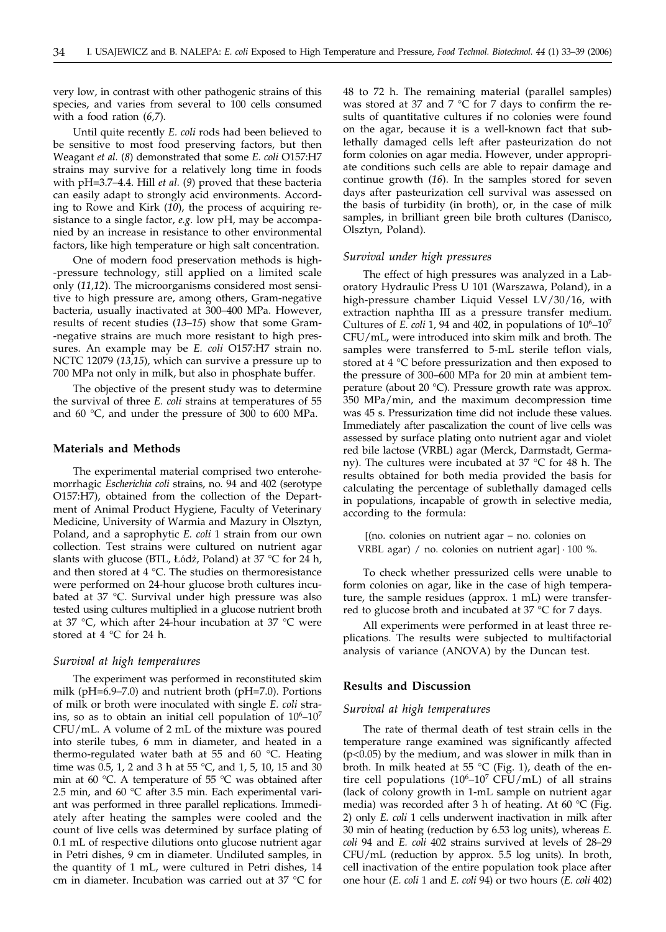very low, in contrast with other pathogenic strains of this species, and varies from several to 100 cells consumed with a food ration (*6,7*).

Until quite recently *E. coli* rods had been believed to be sensitive to most food preserving factors, but then Weagant *et al.* (*8*) demonstrated that some *E. coli* O157:H7 strains may survive for a relatively long time in foods with pH=3.7–4.4. Hill *et al.* (*9*) proved that these bacteria can easily adapt to strongly acid environments. According to Rowe and Kirk (*10*), the process of acquiring resistance to a single factor, *e.g.* low pH, may be accompanied by an increase in resistance to other environmental factors, like high temperature or high salt concentration.

One of modern food preservation methods is high- -pressure technology, still applied on a limited scale only (*11,12*). The microorganisms considered most sensitive to high pressure are, among others, Gram-negative bacteria, usually inactivated at 300–400 MPa. However, results of recent studies (*13–15*) show that some Gram- -negative strains are much more resistant to high pressures. An example may be *E. coli* O157:H7 strain no. NCTC 12079 (*13,15*), which can survive a pressure up to 700 MPa not only in milk, but also in phosphate buffer.

The objective of the present study was to determine the survival of three *E. coli* strains at temperatures of 55 and 60 °C, and under the pressure of 300 to 600 MPa.

# **Materials and Methods**

The experimental material comprised two enterohemorrhagic *Escherichia coli* strains, no. 94 and 402 (serotype O157:H7), obtained from the collection of the Department of Animal Product Hygiene, Faculty of Veterinary Medicine, University of Warmia and Mazury in Olsztyn, Poland, and a saprophytic *E. coli* 1 strain from our own collection. Test strains were cultured on nutrient agar slants with glucose (BTL, Łódź, Poland) at 37 °C for 24 h, and then stored at 4 °C. The studies on thermoresistance were performed on 24-hour glucose broth cultures incubated at 37 °C. Survival under high pressure was also tested using cultures multiplied in a glucose nutrient broth at 37 °C, which after 24-hour incubation at 37 °C were stored at 4 °C for 24 h.

# *Survival at high temperatures*

The experiment was performed in reconstituted skim milk (pH=6.9–7.0) and nutrient broth (pH=7.0). Portions of milk or broth were inoculated with single *E. coli* strains, so as to obtain an initial cell population of  $10^6$ – $10^7$ CFU/mL. A volume of 2 mL of the mixture was poured into sterile tubes, 6 mm in diameter, and heated in a thermo-regulated water bath at 55 and 60 °C. Heating time was  $0.5$ , 1, 2 and 3 h at 55 °C, and 1, 5, 10, 15 and 30 min at 60 °C. A temperature of 55 °C was obtained after 2.5 min, and 60 °C after 3.5 min. Each experimental variant was performed in three parallel replications. Immediately after heating the samples were cooled and the count of live cells was determined by surface plating of 0.1 mL of respective dilutions onto glucose nutrient agar in Petri dishes, 9 cm in diameter. Undiluted samples, in the quantity of 1 mL, were cultured in Petri dishes, 14 cm in diameter. Incubation was carried out at 37 °C for

48 to 72 h. The remaining material (parallel samples) was stored at 37 and 7 °C for 7 days to confirm the results of quantitative cultures if no colonies were found on the agar, because it is a well-known fact that sublethally damaged cells left after pasteurization do not form colonies on agar media. However, under appropriate conditions such cells are able to repair damage and continue growth (*16*). In the samples stored for seven days after pasteurization cell survival was assessed on the basis of turbidity (in broth), or, in the case of milk samples, in brilliant green bile broth cultures (Danisco, Olsztyn, Poland).

#### *Survival under high pressures*

The effect of high pressures was analyzed in a Laboratory Hydraulic Press U 101 (Warszawa, Poland), in a high-pressure chamber Liquid Vessel LV/30/16, with extraction naphtha III as a pressure transfer medium. Cultures of *E. coli* 1, 94 and 402, in populations of  $10^6$ – $10^7$ CFU/mL, were introduced into skim milk and broth. The samples were transferred to 5-mL sterile teflon vials, stored at 4 °C before pressurization and then exposed to the pressure of 300–600 MPa for 20 min at ambient temperature (about 20 °C). Pressure growth rate was approx. 350 MPa/min, and the maximum decompression time was 45 s. Pressurization time did not include these values. Immediately after pascalization the count of live cells was assessed by surface plating onto nutrient agar and violet red bile lactose (VRBL) agar (Merck, Darmstadt, Germany). The cultures were incubated at 37 °C for 48 h. The results obtained for both media provided the basis for calculating the percentage of sublethally damaged cells in populations, incapable of growth in selective media, according to the formula:

(no. colonies on nutrient agar – no. colonies on VRBL agar) / no. colonies on nutrient agar]  $\cdot$  100 %.

To check whether pressurized cells were unable to form colonies on agar, like in the case of high temperature, the sample residues (approx. 1 mL) were transferred to glucose broth and incubated at 37 °C for 7 days.

All experiments were performed in at least three replications. The results were subjected to multifactorial analysis of variance (ANOVA) by the Duncan test.

# **Results and Discussion**

#### *Survival at high temperatures*

The rate of thermal death of test strain cells in the temperature range examined was significantly affected (p<0.05) by the medium, and was slower in milk than in broth. In milk heated at 55 °C (Fig. 1), death of the entire cell populations  $(10^6-10^7 \text{ CFU/mL})$  of all strains (lack of colony growth in 1-mL sample on nutrient agar media) was recorded after 3 h of heating. At 60 °C (Fig. 2) only *E. coli* 1 cells underwent inactivation in milk after 30 min of heating (reduction by 6.53 log units), whereas *E. coli* 94 and *E. coli* 402 strains survived at levels of 28–29 CFU/mL (reduction by approx. 5.5 log units). In broth, cell inactivation of the entire population took place after one hour (*E. coli* 1 and *E. coli* 94) or two hours (*E. coli* 402)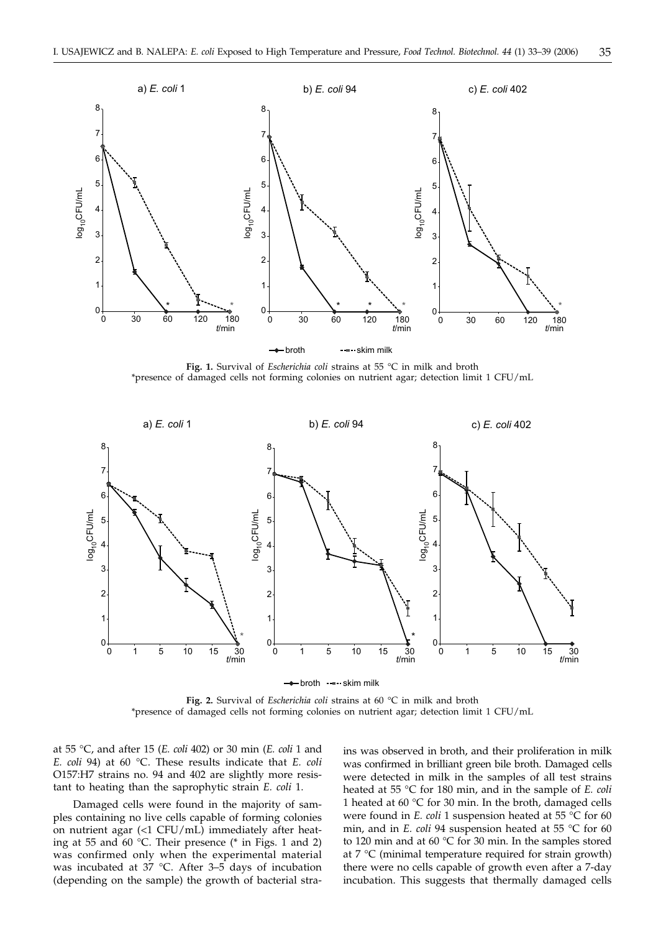

**Fig. 1.** Survival of *Escherichia coli* strains at 55 °C in milk and broth \*presence of damaged cells not forming colonies on nutrient agar; detection limit 1 CFU/mL



- broth ----- skim milk

**Fig. 2.** Survival of *Escherichia coli* strains at 60 °C in milk and broth \*presence of damaged cells not forming colonies on nutrient agar; detection limit 1 CFU/mL

at 55 °C, and after 15 (*E. coli* 402) or 30 min (*E. coli* 1 and *E. coli* 94) at 60 °C. These results indicate that *E. coli* O157:H7 strains no. 94 and 402 are slightly more resistant to heating than the saprophytic strain *E. coli* 1.

Damaged cells were found in the majority of samples containing no live cells capable of forming colonies on nutrient agar (<1 CFU/mL) immediately after heating at 55 and 60 °C. Their presence (\* in Figs. 1 and 2) was confirmed only when the experimental material was incubated at 37 °C. After 3–5 days of incubation (depending on the sample) the growth of bacterial strains was observed in broth, and their proliferation in milk was confirmed in brilliant green bile broth. Damaged cells were detected in milk in the samples of all test strains heated at 55 °C for 180 min, and in the sample of *E. coli* 1 heated at 60  $\degree$ C for 30 min. In the broth, damaged cells were found in *E. coli* 1 suspension heated at 55 °C for 60 min, and in *E. coli* 94 suspension heated at 55 °C for 60 to 120 min and at 60 °C for 30 min. In the samples stored at 7 °C (minimal temperature required for strain growth) there were no cells capable of growth even after a 7-day incubation. This suggests that thermally damaged cells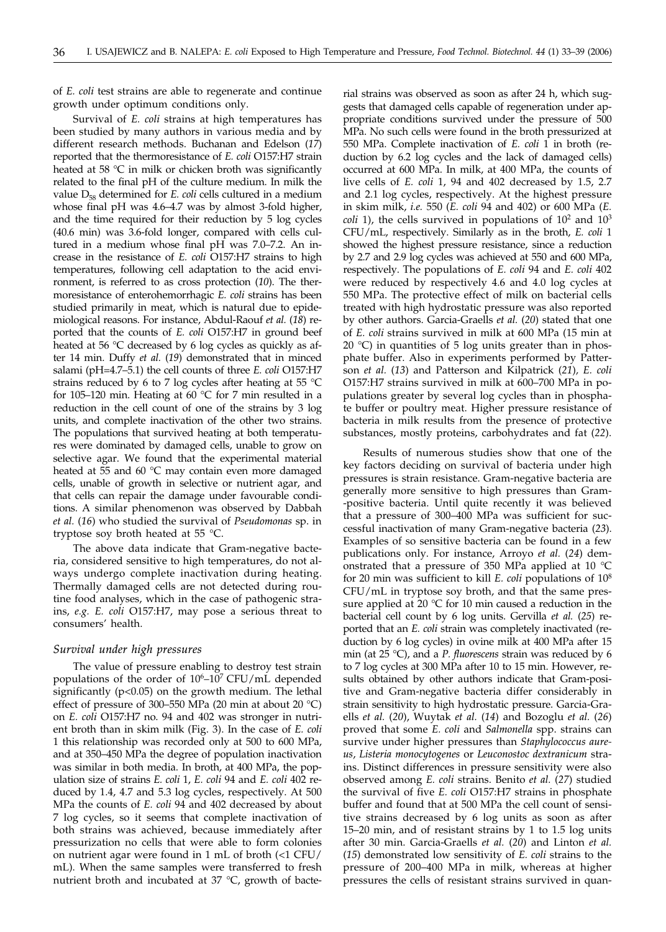of *E. coli* test strains are able to regenerate and continue growth under optimum conditions only.

Survival of *E. coli* strains at high temperatures has been studied by many authors in various media and by different research methods. Buchanan and Edelson (*17*) reported that the thermoresistance of *E. coli* O157:H7 strain heated at 58 °C in milk or chicken broth was significantly related to the final pH of the culture medium. In milk the value  $D_{58}$  determined for *E. coli* cells cultured in a medium whose final pH was 4.6–4.7 was by almost 3-fold higher, and the time required for their reduction by 5 log cycles (40.6 min) was 3.6-fold longer, compared with cells cultured in a medium whose final pH was 7.0–7.2. An increase in the resistance of *E. coli* O157:H7 strains to high temperatures, following cell adaptation to the acid environment, is referred to as cross protection (*10*). The thermoresistance of enterohemorrhagic *E. coli* strains has been studied primarily in meat, which is natural due to epidemiological reasons. For instance, Abdul-Raouf *et al.* (*18*) reported that the counts of *E. coli* O157:H7 in ground beef heated at 56 °C decreased by 6 log cycles as quickly as after 14 min. Duffy *et al.* (*19*) demonstrated that in minced salami (pH=4.7–5.1) the cell counts of three *E. coli* O157:H7 strains reduced by 6 to 7 log cycles after heating at 55 °C for 105–120 min. Heating at 60 °C for 7 min resulted in a reduction in the cell count of one of the strains by 3 log units, and complete inactivation of the other two strains. The populations that survived heating at both temperatures were dominated by damaged cells, unable to grow on selective agar. We found that the experimental material heated at 55 and 60 °C may contain even more damaged cells, unable of growth in selective or nutrient agar, and that cells can repair the damage under favourable conditions. A similar phenomenon was observed by Dabbah *et al.* (*16*) who studied the survival of *Pseudomonas* sp. in tryptose soy broth heated at 55 °C.

The above data indicate that Gram-negative bacteria, considered sensitive to high temperatures, do not always undergo complete inactivation during heating. Thermally damaged cells are not detected during routine food analyses, which in the case of pathogenic strains, *e.g. E. coli* O157:H7, may pose a serious threat to consumers' health.

#### *Survival under high pressures*

The value of pressure enabling to destroy test strain populations of the order of  $10^6$ – $10^7$  CFU/mL depended significantly (p<0.05) on the growth medium. The lethal effect of pressure of 300–550 MPa (20 min at about 20 °C) on *E. coli* O157:H7 no. 94 and 402 was stronger in nutrient broth than in skim milk (Fig. 3). In the case of *E. coli* 1 this relationship was recorded only at 500 to 600 MPa, and at 350–450 MPa the degree of population inactivation was similar in both media. In broth, at 400 MPa, the population size of strains *E. coli* 1, *E. coli* 94 and *E. coli* 402 reduced by 1.4, 4.7 and 5.3 log cycles, respectively. At 500 MPa the counts of *E. coli* 94 and 402 decreased by about 7 log cycles, so it seems that complete inactivation of both strains was achieved, because immediately after pressurization no cells that were able to form colonies on nutrient agar were found in 1 mL of broth (<1 CFU/ mL). When the same samples were transferred to fresh nutrient broth and incubated at 37 °C, growth of bacterial strains was observed as soon as after 24 h, which suggests that damaged cells capable of regeneration under appropriate conditions survived under the pressure of 500 MPa. No such cells were found in the broth pressurized at 550 MPa. Complete inactivation of *E. coli* 1 in broth (reduction by 6.2 log cycles and the lack of damaged cells) occurred at 600 MPa. In milk, at 400 MPa, the counts of live cells of *E. coli* 1, 94 and 402 decreased by 1.5, 2.7 and 2.1 log cycles, respectively. At the highest pressure in skim milk, *i.e.* 550 (*E. coli* 94 and 402) or 600 MPa (*E. coli* 1), the cells survived in populations of  $10^2$  and  $10^3$ CFU/mL, respectively. Similarly as in the broth, *E. coli* 1 showed the highest pressure resistance, since a reduction by 2.7 and 2.9 log cycles was achieved at 550 and 600 MPa, respectively. The populations of *E. coli* 94 and *E. coli* 402 were reduced by respectively 4.6 and 4.0 log cycles at 550 MPa. The protective effect of milk on bacterial cells treated with high hydrostatic pressure was also reported by other authors. Garcia-Graells *et al.* (*20*) stated that one of *E. coli* strains survived in milk at 600 MPa (15 min at 20  $^{\circ}$ C) in quantities of 5 log units greater than in phosphate buffer. Also in experiments performed by Patterson *et al.* (*13*) and Patterson and Kilpatrick (*21*)*, E. coli* O157:H7 strains survived in milk at 600–700 MPa in populations greater by several log cycles than in phosphate buffer or poultry meat. Higher pressure resistance of bacteria in milk results from the presence of protective substances, mostly proteins, carbohydrates and fat (*22*).

Results of numerous studies show that one of the key factors deciding on survival of bacteria under high pressures is strain resistance. Gram-negative bacteria are generally more sensitive to high pressures than Gram- -positive bacteria. Until quite recently it was believed that a pressure of 300–400 MPa was sufficient for successful inactivation of many Gram-negative bacteria (*23*). Examples of so sensitive bacteria can be found in a few publications only. For instance, Arroyo *et al.* (*24*) demonstrated that a pressure of 350 MPa applied at 10 °C for 20 min was sufficient to kill *E. coli* populations of 108 CFU/mL in tryptose soy broth, and that the same pressure applied at 20 °C for 10 min caused a reduction in the bacterial cell count by 6 log units. Gervilla *et al.* (*25*) reported that an *E. coli* strain was completely inactivated (reduction by 6 log cycles) in ovine milk at 400 MPa after 15 min (at 25 °C), and a *P. fluorescens* strain was reduced by 6 to 7 log cycles at 300 MPa after 10 to 15 min. However, results obtained by other authors indicate that Gram-positive and Gram-negative bacteria differ considerably in strain sensitivity to high hydrostatic pressure. Garcia-Graells *et al.* (*20*), Wuytak *et al.* (*14*) and Bozoglu *et al.* (*26*) proved that some *E. coli* and *Salmonella* spp. strains can survive under higher pressures than *Staphylococcus aureus*, *Listeria monocytogenes* or *Leuconostoc dextranicum* strains. Distinct differences in pressure sensitivity were also observed among *E. coli* strains. Benito *et al.* (*27*) studied the survival of five *E. coli* O157:H7 strains in phosphate buffer and found that at 500 MPa the cell count of sensitive strains decreased by 6 log units as soon as after 15–20 min, and of resistant strains by 1 to 1.5 log units after 30 min. Garcia-Graells *et al.* (*20*) and Linton *et al.* (*15*) demonstrated low sensitivity of *E. coli* strains to the pressure of 200–400 MPa in milk, whereas at higher pressures the cells of resistant strains survived in quan-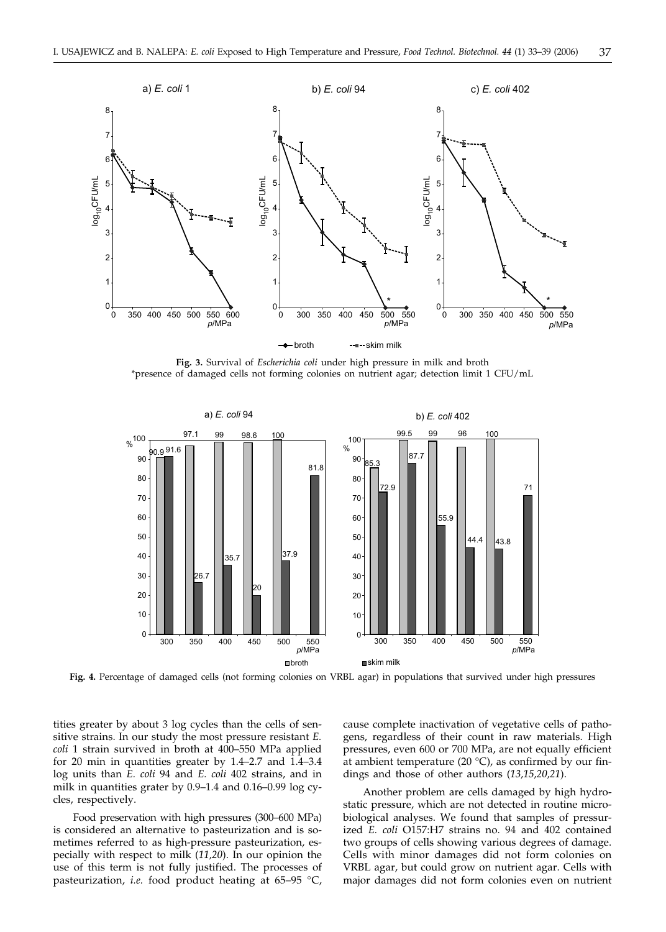

**Fig. 3.** Survival of *Escherichia coli* under high pressure in milk and broth \*presence of damaged cells not forming colonies on nutrient agar; detection limit 1 CFU/mL



Fig. 4. Percentage of damaged cells (not forming colonies on VRBL agar) in populations that survived under high pressures

tities greater by about 3 log cycles than the cells of sensitive strains. In our study the most pressure resistant *E. coli* 1 strain survived in broth at 400–550 MPa applied for 20 min in quantities greater by 1.4–2.7 and 1.4–3.4 log units than *E. coli* 94 and *E. coli* 402 strains, and in milk in quantities grater by 0.9–1.4 and 0.16–0.99 log cycles, respectively.

Food preservation with high pressures (300–600 MPa) is considered an alternative to pasteurization and is sometimes referred to as high-pressure pasteurization, especially with respect to milk (*11,20*). In our opinion the use of this term is not fully justified. The processes of pasteurization, *i.e.* food product heating at 65–95 °C,

cause complete inactivation of vegetative cells of pathogens, regardless of their count in raw materials. High pressures, even 600 or 700 MPa, are not equally efficient at ambient temperature (20  $^{\circ}$ C), as confirmed by our findings and those of other authors (*13,15,20,21*).

Another problem are cells damaged by high hydrostatic pressure, which are not detected in routine microbiological analyses. We found that samples of pressurized *E. coli* O157:H7 strains no. 94 and 402 contained two groups of cells showing various degrees of damage. Cells with minor damages did not form colonies on VRBL agar, but could grow on nutrient agar. Cells with major damages did not form colonies even on nutrient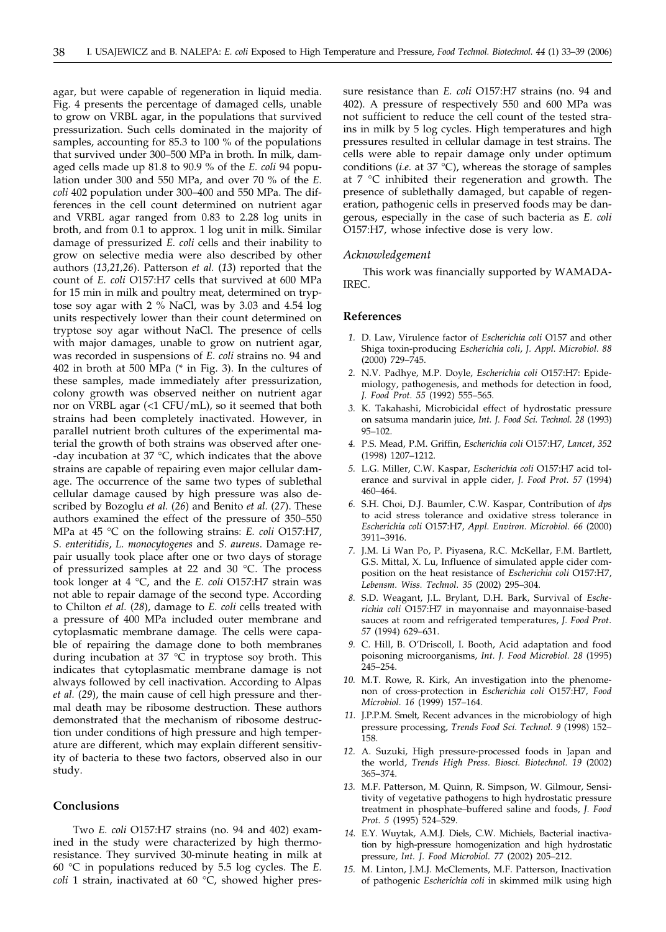agar, but were capable of regeneration in liquid media. Fig. 4 presents the percentage of damaged cells, unable to grow on VRBL agar, in the populations that survived pressurization. Such cells dominated in the majority of samples, accounting for 85.3 to 100 % of the populations that survived under 300–500 MPa in broth. In milk, damaged cells made up 81.8 to 90.9 % of the *E. coli* 94 population under 300 and 550 MPa, and over 70 % of the *E. coli* 402 population under 300–400 and 550 MPa. The differences in the cell count determined on nutrient agar and VRBL agar ranged from 0.83 to 2.28 log units in broth, and from 0.1 to approx. 1 log unit in milk. Similar damage of pressurized *E. coli* cells and their inability to grow on selective media were also described by other authors (*13,21,26*). Patterson *et al.* (*13*) reported that the count of *E. coli* O157:H7 cells that survived at 600 MPa for 15 min in milk and poultry meat, determined on tryptose soy agar with 2 % NaCl, was by 3.03 and 4.54 log units respectively lower than their count determined on tryptose soy agar without NaCl. The presence of cells with major damages, unable to grow on nutrient agar, was recorded in suspensions of *E. coli* strains no. 94 and 402 in broth at 500 MPa (\* in Fig. 3). In the cultures of these samples, made immediately after pressurization, colony growth was observed neither on nutrient agar nor on VRBL agar (<1 CFU/mL), so it seemed that both strains had been completely inactivated. However, in parallel nutrient broth cultures of the experimental material the growth of both strains was observed after one- -day incubation at 37 °C, which indicates that the above strains are capable of repairing even major cellular damage. The occurrence of the same two types of sublethal cellular damage caused by high pressure was also described by Bozoglu *et al.* (*26*) and Benito *et al.* (*27*). These authors examined the effect of the pressure of 350–550 MPa at 45 °C on the following strains: *E. coli* O157:H7, *S. enteritidis*, *L. monocytogenes* and *S. aureus*. Damage repair usually took place after one or two days of storage of pressurized samples at 22 and 30 °C. The process took longer at 4 °C, and the *E. coli* O157:H7 strain was not able to repair damage of the second type. According to Chilton *et al.* (*28*), damage to *E. coli* cells treated with a pressure of 400 MPa included outer membrane and cytoplasmatic membrane damage. The cells were capable of repairing the damage done to both membranes during incubation at 37  $\degree$ C in tryptose soy broth. This indicates that cytoplasmatic membrane damage is not always followed by cell inactivation. According to Alpas *et al.* (*29*), the main cause of cell high pressure and thermal death may be ribosome destruction. These authors demonstrated that the mechanism of ribosome destruction under conditions of high pressure and high temperature are different, which may explain different sensitivity of bacteria to these two factors, observed also in our study.

### **Conclusions**

Two *E. coli* O157:H7 strains (no. 94 and 402) examined in the study were characterized by high thermoresistance. They survived 30-minute heating in milk at 60 °C in populations reduced by 5.5 log cycles. The *E. coli* 1 strain, inactivated at 60 °C, showed higher pressure resistance than *E. coli* O157:H7 strains (no. 94 and 402). A pressure of respectively 550 and 600 MPa was not sufficient to reduce the cell count of the tested strains in milk by 5 log cycles. High temperatures and high pressures resulted in cellular damage in test strains. The cells were able to repair damage only under optimum conditions (*i.e.* at 37  $^{\circ}$ C), whereas the storage of samples at 7 °C inhibited their regeneration and growth. The presence of sublethally damaged, but capable of regeneration, pathogenic cells in preserved foods may be dangerous, especially in the case of such bacteria as *E. coli* O157:H7, whose infective dose is very low.

#### *Acknowledgement*

This work was financially supported by WAMADA-IREC.

# **References**

- *1.* D. Law, Virulence factor of *Escherichia coli* O157 and other Shiga toxin-producing *Escherichia coli*, *J. Appl. Microbiol. 88* (2000) 729–745.
- *2.* N.V. Padhye, M.P. Doyle, *Escherichia coli* O157:H7: Epidemiology, pathogenesis, and methods for detection in food, *J. Food Prot. 55* (1992) 555–565.
- *3.* K. Takahashi, Microbicidal effect of hydrostatic pressure on satsuma mandarin juice, *Int. J. Food Sci. Technol. 28* (1993) 95–102.
- *4.* P.S. Mead, P.M. Griffin, *Escherichia coli* O157:H7, *Lancet*, *352* (1998) 1207–1212.
- *5.* L.G. Miller, C.W. Kaspar, *Escherichia coli* O157:H7 acid tolerance and survival in apple cider, *J. Food Prot. 57* (1994) 460–464.
- *6.* S.H. Choi, D.J. Baumler, C.W. Kaspar, Contribution of *dps* to acid stress tolerance and oxidative stress tolerance in *Escherichia coli* O157:H7, *Appl. Environ. Microbiol. 66* (2000) 3911–3916.
- *7.* J.M. Li Wan Po, P. Piyasena, R.C. McKellar, F.M. Bartlett, G.S. Mittal, X. Lu, Influence of simulated apple cider composition on the heat resistance of *Escherichia coli* O157:H7, *Lebensm. Wiss. Technol. 35* (2002) 295–304.
- *8.* S.D. Weagant, J.L. Brylant, D.H. Bark, Survival of *Escherichia coli* O157:H7 in mayonnaise and mayonnaise-based sauces at room and refrigerated temperatures, *J. Food Prot*. *57* (1994) 629–631.
- *9.* C. Hill, B. O'Driscoll, I. Booth, Acid adaptation and food poisoning microorganisms, *Int. J. Food Microbiol. 28* (1995) 245–254.
- *10.* M.T. Rowe, R. Kirk, An investigation into the phenomenon of cross-protection in *Escherichia coli* O157:H7, *Food Microbiol*. *16* (1999) 157–164.
- *11.* J.P.P.M. Smelt, Recent advances in the microbiology of high pressure processing, *Trends Food Sci. Technol. 9* (1998) 152– 158.
- *12.* A. Suzuki, High pressure-processed foods in Japan and the world, *Trends High Press. Biosci. Biotechnol. 19* (2002) 365–374.
- *13.* M.F. Patterson, M. Quinn, R. Simpson, W. Gilmour, Sensitivity of vegetative pathogens to high hydrostatic pressure treatment in phosphate–buffered saline and foods, *J. Food Prot. 5* (1995) 524–529.
- *14.* E.Y. Wuytak, A.M.J. Diels, C.W. Michiels, Bacterial inactivation by high-pressure homogenization and high hydrostatic pressure, *Int. J. Food Microbiol. 77* (2002) 205–212.
- *15.* M. Linton, J.M.J. McClements, M.F. Patterson, Inactivation of pathogenic *Escherichia coli* in skimmed milk using high